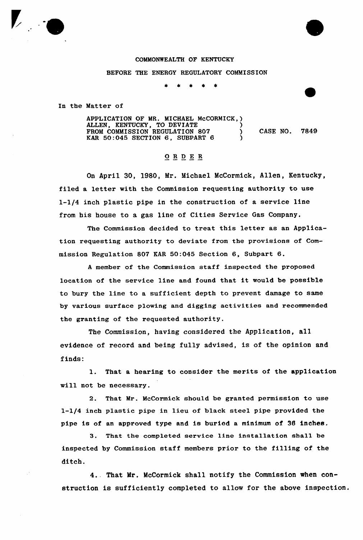

## COMMONWEALTH OF KENTUCKY

BEFORE THE ENERGY REGULATORY COMMISSION

\* \* \*  $\star$ 

In the Matter of

APPLICATION OF MR. MICHAEL McCORMICK, ) ALLEN, KENTUCKY, TO DEVIATE (1996) FROM COMMISSION REGULATION 807 (CASE NO. 7849 FROM COMMISSION REGULATION 807 (RAR 50:045 SECTION 6, SUBPART 6 )

## ORDER

On April 30, 1980, Mr. Michael McCormick, Allen, Kentucky, filed a letter with the Commission requesting authority to use l-l/4 inch plastic pipe in the construction of a service line from his house to a gas line of Cities Service Gas Company.

The Commission decided to treat this letter as an Application requesting authority to deviate from the provisions of Commission Regulation 807 KAR 50:045 Section 6, Subpart 6.

<sup>A</sup> member of the Commission staff inspected the proposed location of the service line and found that it would be possib1e to bury the line to a sufficient depth to prevent damage to same by various surface plowing and digging activities and recommended the granting of the requested authority.

The Commission, having considered the Application, all evidence of record and being fully advised, is of the opinion and finds:

1. That <sup>a</sup> hearing to consider the merits of the application will not be necessary.

2. That Mr. McCormick should be granted permission to use l-l/4 inch plastic pipe in lieu of black steel pipe provided the pipe is of an approved type and is buried a minimum of 36 inches.

3. That the completed service line installation shall be inspected by Commission staff members prior to the filling of the ditch.

4.. That Mr. McCormick shall notify the Commission when construction is sufficiently completed to allow for the above inspection.